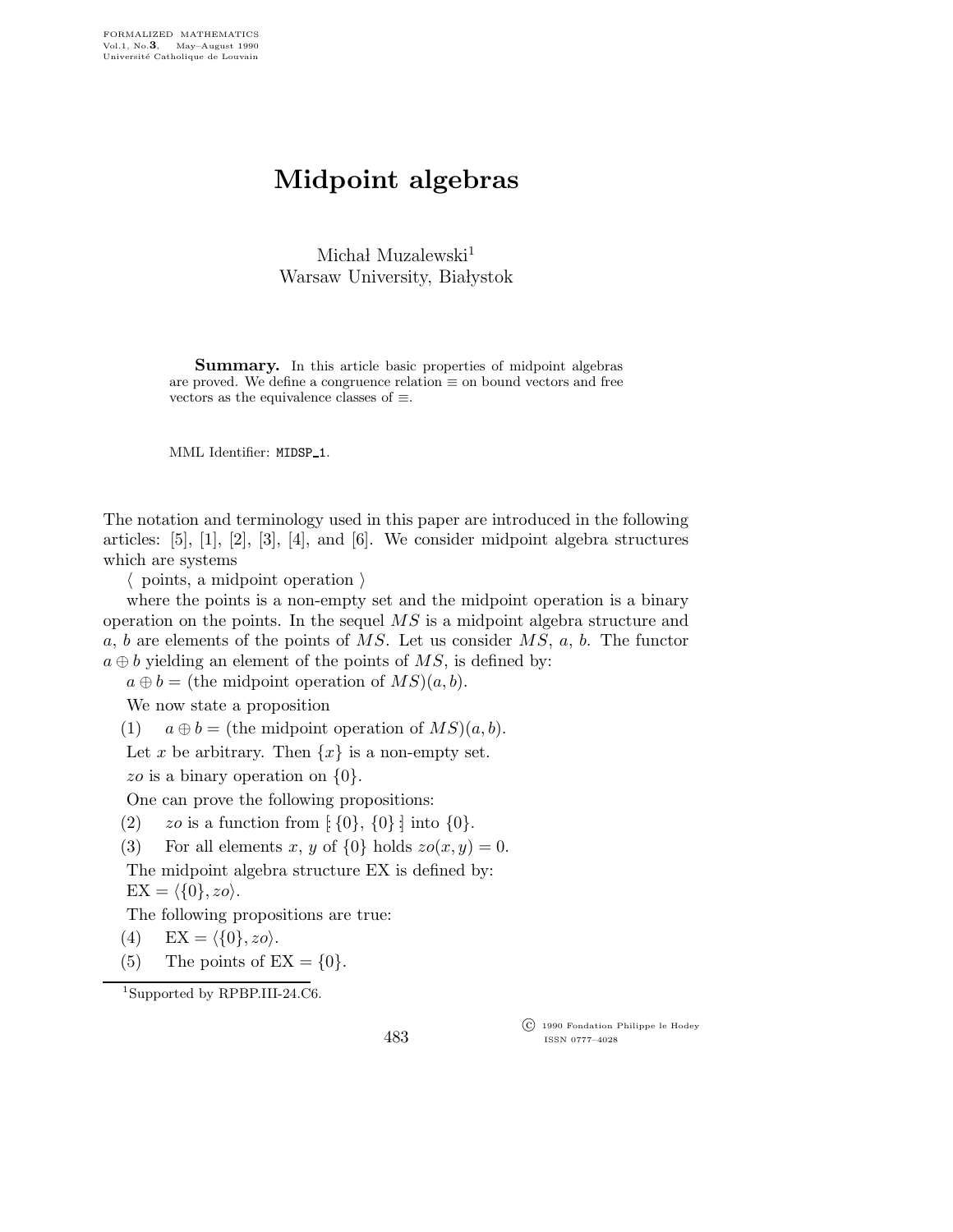## Midpoint algebras

Michał Muzalewski<sup>1</sup> Warsaw University, Białystok

Summary. In this article basic properties of midpoint algebras are proved. We define a congruence relation  $\equiv$  on bound vectors and free vectors as the equivalence classes of  $\equiv$ .

MML Identifier: MIDSP\_1.

The notation and terminology used in this paper are introduced in the following articles:  $[5]$ ,  $[1]$ ,  $[2]$ ,  $[3]$ ,  $[4]$ , and  $[6]$ . We consider midpoint algebra structures which are systems

 $\langle$  points, a midpoint operation  $\rangle$ 

where the points is a non-empty set and the midpoint operation is a binary operation on the points. In the sequel  $\overline{MS}$  is a midpoint algebra structure and a, b are elements of the points of  $MS$ . Let us consider  $MS$ , a, b. The functor  $a \oplus b$  yielding an element of the points of MS, is defined by:

 $a \oplus b =$  (the midpoint operation of  $MS(a, b)$ .

We now state a proposition

(1)  $a \oplus b =$  (the midpoint operation of  $MS(a, b)$ .

Let x be arbitrary. Then  $\{x\}$  is a non-empty set.

zo is a binary operation on  $\{0\}.$ 

One can prove the following propositions:

(2) zo is a function from  $\{0\}$ ,  $\{0\}$  into  $\{0\}$ .

(3) For all elements x, y of  $\{0\}$  holds  $zo(x, y) = 0$ .

The midpoint algebra structure EX is defined by:  $EX = \langle \{0\}, z_0 \rangle.$ 

The following propositions are true:

$$
(4) \quad EX = \langle \{0\}, zo \rangle.
$$

(5) The points of  $EX = \{0\}.$ 

<sup>1</sup>Supported by RPBP.III-24.C6.

483

 c 1990 Fondation Philippe le Hodey ISSN 0777–4028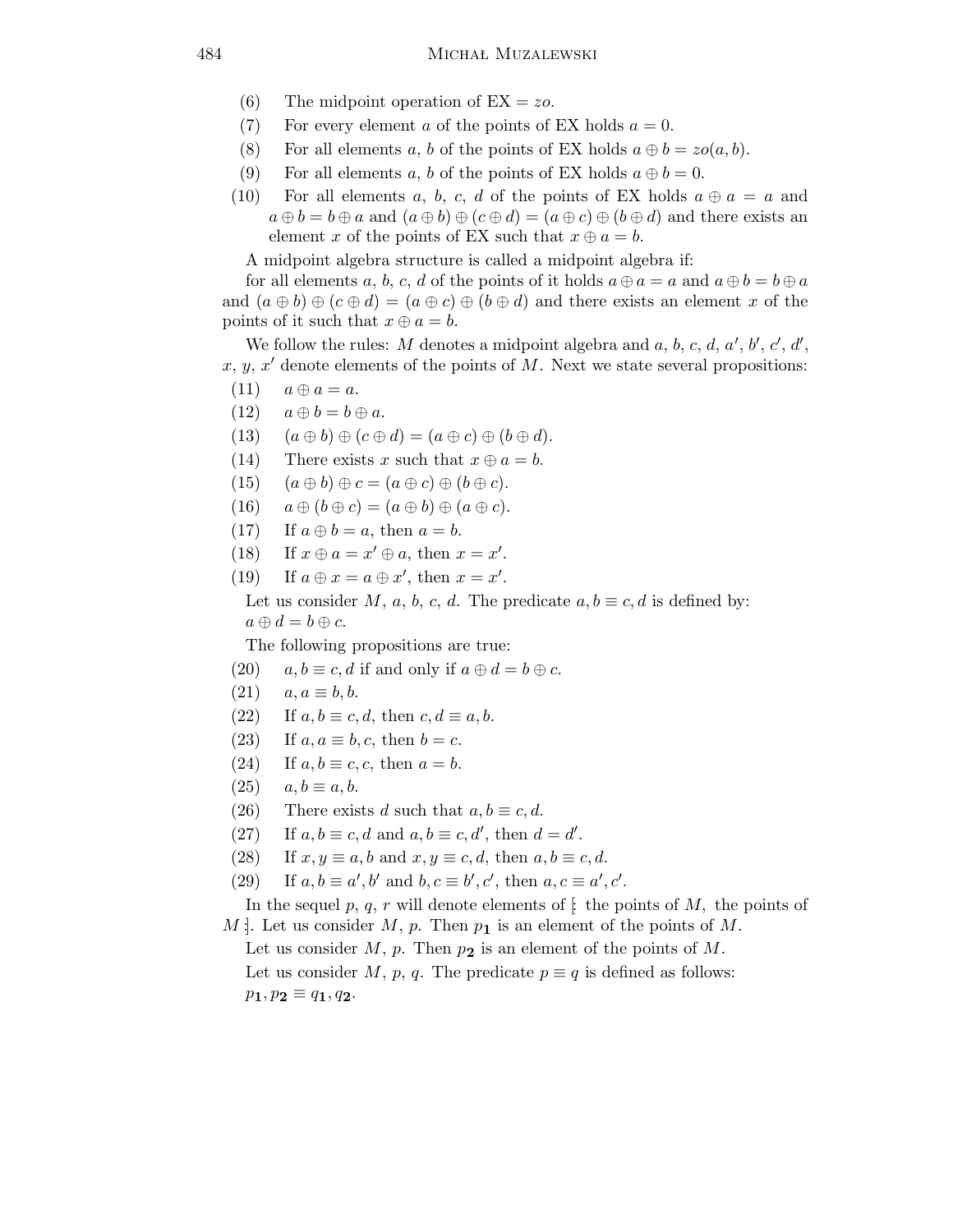- (6) The midpoint operation of  $EX = zo$ .
- (7) For every element a of the points of EX holds  $a = 0$ .
- (8) For all elements a, b of the points of EX holds  $a \oplus b = zo(a, b)$ .
- (9) For all elements a, b of the points of EX holds  $a \oplus b = 0$ .
- (10) For all elements a, b, c, d of the points of EX holds  $a \oplus a = a$  and  $a \oplus b = b \oplus a$  and  $(a \oplus b) \oplus (c \oplus d) = (a \oplus c) \oplus (b \oplus d)$  and there exists an element x of the points of EX such that  $x \oplus a = b$ .

A midpoint algebra structure is called a midpoint algebra if:

for all elements a, b, c, d of the points of it holds  $a \oplus a = a$  and  $a \oplus b = b \oplus a$ and  $(a \oplus b) \oplus (c \oplus d) = (a \oplus c) \oplus (b \oplus d)$  and there exists an element x of the points of it such that  $x \oplus a = b$ .

We follow the rules: M denotes a midpoint algebra and  $a, b, c, d, a', b', c', d',$ x, y, x' denote elements of the points of M. Next we state several propositions:

- $(11)$   $a \oplus a = a$ .
- (12)  $a \oplus b = b \oplus a$ .
- (13)  $(a \oplus b) \oplus (c \oplus d) = (a \oplus c) \oplus (b \oplus d).$
- (14) There exists x such that  $x \oplus a = b$ .
- $(15)$   $(a \oplus b) \oplus c = (a \oplus c) \oplus (b \oplus c).$
- (16)  $a \oplus (b \oplus c) = (a \oplus b) \oplus (a \oplus c).$
- (17) If  $a \oplus b = a$ , then  $a = b$ .
- (18) If  $x \oplus a = x' \oplus a$ , then  $x = x'$ .
- (19) If  $a \oplus x = a \oplus x'$ , then  $x = x'$ .

Let us consider M, a, b, c, d. The predicate  $a, b \equiv c, d$  is defined by:  $a \oplus d = b \oplus c.$ 

The following propositions are true:

- (20)  $a, b \equiv c, d$  if and only if  $a \oplus d = b \oplus c$ .
- $(21)$   $a, a \equiv b, b.$
- (22) If  $a, b \equiv c, d$ , then  $c, d \equiv a, b$ .
- (23) If  $a, a \equiv b, c$ , then  $b = c$ .
- (24) If  $a, b \equiv c, c$ , then  $a = b$ .
- $(25)$   $a, b \equiv a, b.$
- (26) There exists d such that  $a, b \equiv c, d$ .
- (27) If  $a, b \equiv c, d$  and  $a, b \equiv c, d'$ , then  $d = d'$ .
- (28) If  $x, y \equiv a, b$  and  $x, y \equiv c, d$ , then  $a, b \equiv c, d$ .
- (29) If  $a, b \equiv a', b'$  and  $b, c \equiv b', c'$ , then  $a, c \equiv a', c'$ .

In the sequel p, q, r will denote elements of  $\mathfrak{f}$ : the points of M, the points of M : Let us consider M, p. Then  $p_1$  is an element of the points of M.

Let us consider  $M$ ,  $p$ . Then  $p_2$  is an element of the points of  $M$ . Let us consider M, p, q. The predicate  $p \equiv q$  is defined as follows:  $p_1, p_2 \equiv q_1, q_2.$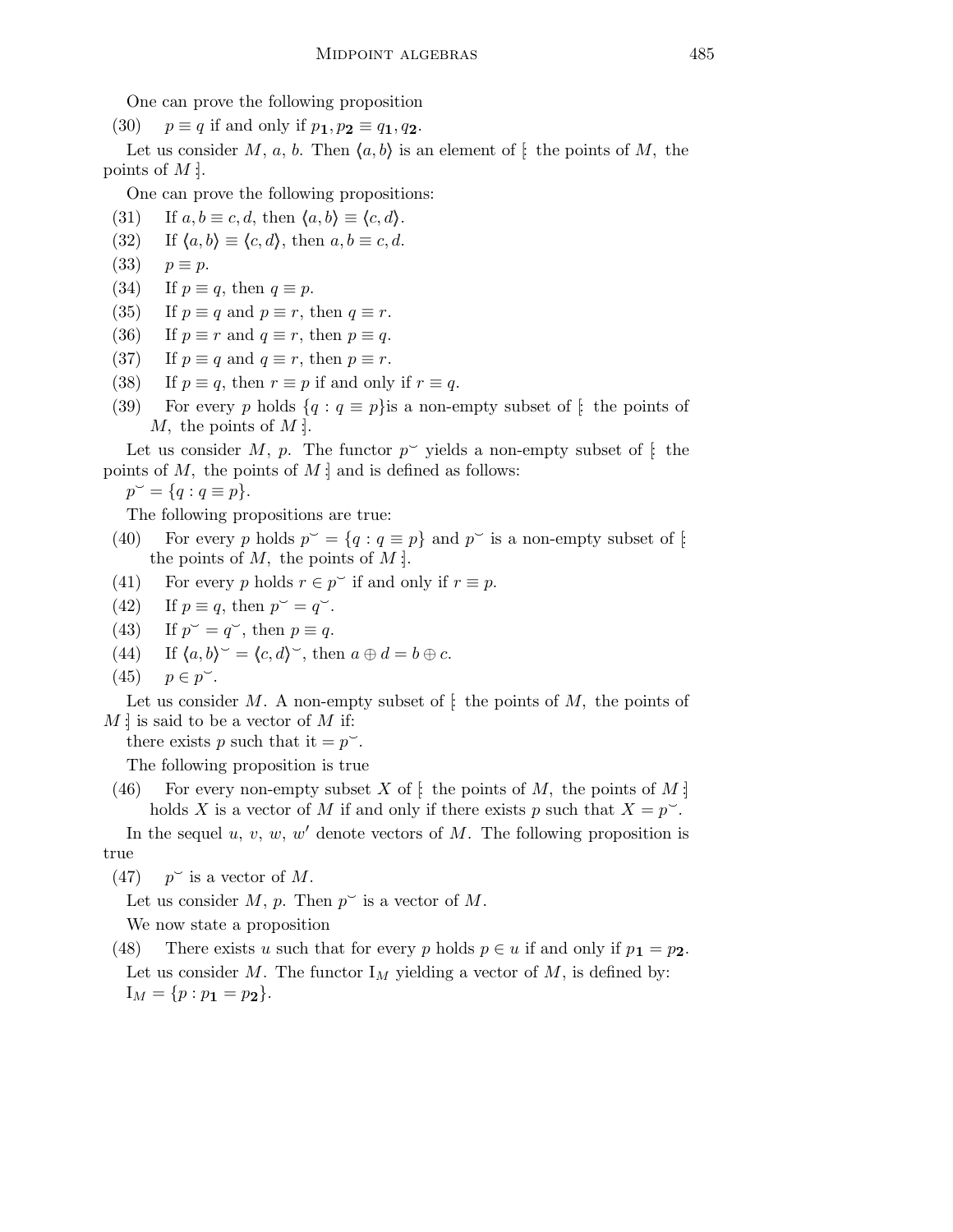One can prove the following proposition

(30)  $p \equiv q$  if and only if  $p_1, p_2 \equiv q_1, q_2$ .

Let us consider M, a, b. Then  $\langle a,b \rangle$  is an element of  $\}$  the points of M, the points of  $M$  :

One can prove the following propositions:

- (31) If  $a, b \equiv c, d$ , then  $\langle a, b \rangle \equiv \langle c, d \rangle$ .
- (32) If  $\langle a,b \rangle \equiv \langle c,d \rangle$ , then  $a,b \equiv c,d$ .
- (33)  $p \equiv p$ .
- (34) If  $p \equiv q$ , then  $q \equiv p$ .
- (35) If  $p \equiv q$  and  $p \equiv r$ , then  $q \equiv r$ .
- (36) If  $p \equiv r$  and  $q \equiv r$ , then  $p \equiv q$ .
- (37) If  $p \equiv q$  and  $q \equiv r$ , then  $p \equiv r$ .
- (38) If  $p \equiv q$ , then  $r \equiv p$  if and only if  $r \equiv q$ .
- (39) For every p holds  $\{q : q \equiv p\}$  is a non-empty subset of  $\}$  the points of M, the points of  $M$ :

Let us consider M, p. The functor  $p^{\sim}$  yields a non-empty subset of [ the points of  $M$ , the points of  $M$  : and is defined as follows:

 $p^{\sim} = \{q : q \equiv p\}.$ 

The following propositions are true:

- (40) For every p holds  $p^{\sim} = \{q : q \equiv p\}$  and  $p^{\sim}$  is a non-empty subset of [: the points of  $M$ , the points of  $M$  :
- (41) For every p holds  $r \in p^{\sim}$  if and only if  $r \equiv p$ .
- (42) If  $p \equiv q$ , then  $p^{\sim} = q^{\sim}$ .
- $(43)$  $\breve{q} = q^{\sim}$ , then  $p \equiv q$ .
- (44) If  $\langle a,b \rangle \rangle = \langle c,d \rangle \rangle$ , then  $a \oplus d = b \oplus c$ .
- (45)  $p \in p^{\sim}$ .

Let us consider M. A non-empty subset of  $\mathfrak{f}$ : the points of M, the points of  $M$  : is said to be a vector of M if:

there exists p such that it  $=p^{\sim}$ .

The following proposition is true

(46) For every non-empty subset X of  $\colon$  the points of M, the points of M : holds X is a vector of M if and only if there exists p such that  $X = p^{\sim}$ .

In the sequel  $u, v, w, w'$  denote vectors of M. The following proposition is true

 $(47)$  $\check{\ }$  is a vector of M.

Let us consider  $M$ ,  $p$ . Then  $p^{\sim}$  is a vector of  $M$ .

We now state a proposition

(48) There exists u such that for every p holds  $p \in u$  if and only if  $p_1 = p_2$ . Let us consider M. The functor  $I_M$  yielding a vector of M, is defined by:  $I_M = \{p : p_1 = p_2\}.$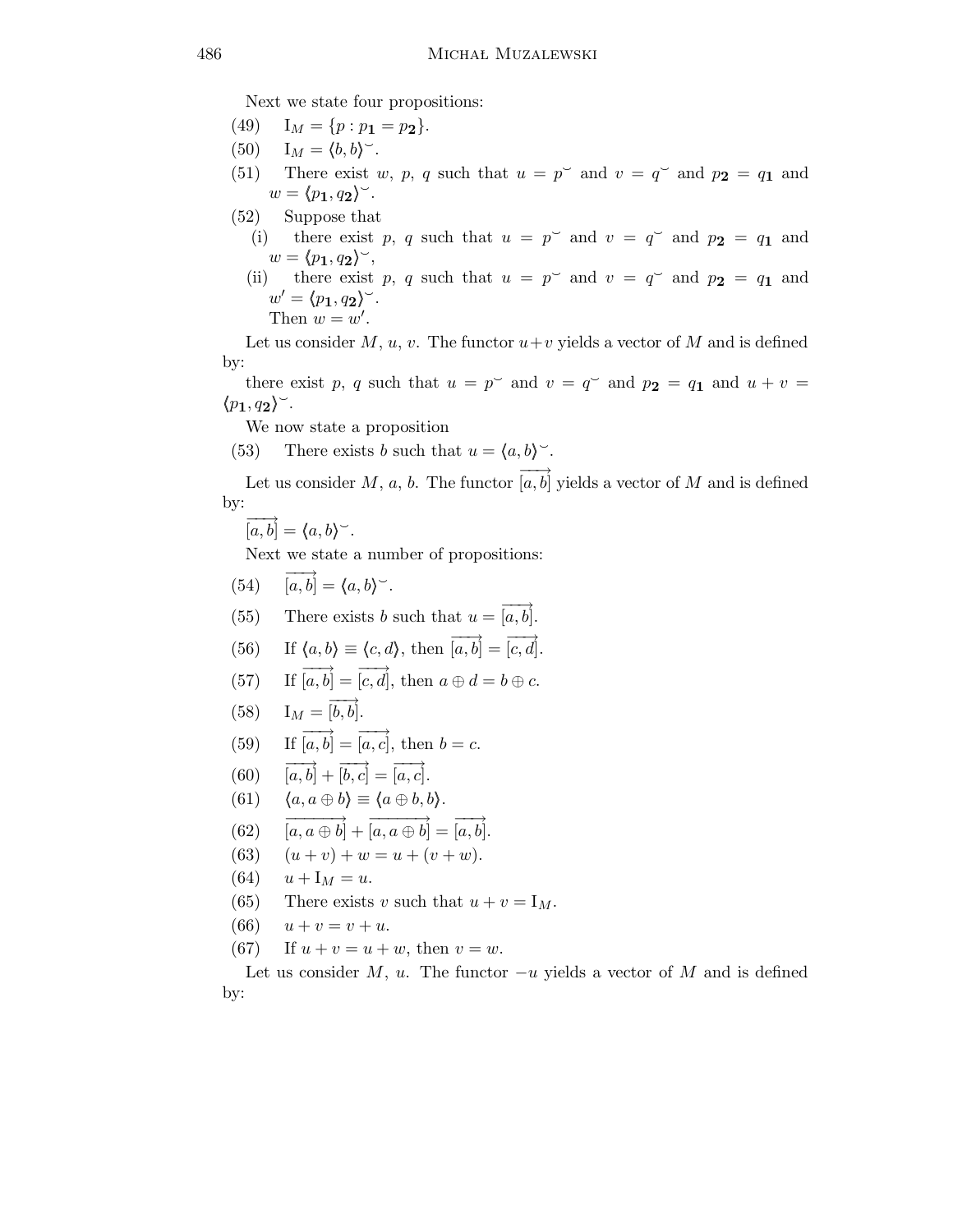Next we state four propositions:

- (49)  $I_M = \{p : p_1 = p_2\}.$
- (50)  $I_M = \langle b, b \rangle^{\sim}$ .
- (51) There exist w, p, q such that  $u = p^{\sim}$  and  $v = q^{\sim}$  and  $p_2 = q_1$  and  $w = \langle p_1, q_2 \rangle^{\sim}.$
- (52) Suppose that
	- (i) there exist p, q such that  $u = p^{\sim}$  and  $v = q^{\sim}$  and  $p_2 = q_1$  and  $w = \langle p_1, q_2 \rangle^{\sim},$
	- (ii) there exist p, q such that  $u = p^{\sim}$  and  $v = q^{\sim}$  and  $p_2 = q_1$  and  $w' = \langle p_1, q_2 \rangle^{\sim}.$ Then  $w = w'$ .

Let us consider  $M, u, v$ . The functor  $u+v$  yields a vector of M and is defined by:

there exist p, q such that  $u = p^{\sim}$  and  $v = q^{\sim}$  and  $p_2 = q_1$  and  $u + v =$  $\langle p_1, q_2 \rangle$ .

We now state a proposition

(53) There exists b such that  $u = \langle a, b \rangle^{\sim}$ .

Let us consider M, a, b. The functor  $\overrightarrow{[a,b]}$  yields a vector of M and is defined by:

$$
\overrightarrow{[a,b]} = \langle a,b \rangle^{\sim}.
$$

Next we state a number of propositions:

- $(54)$   $\overrightarrow{[a,b]} = \langle a,b \rangle^{\sim}.$
- (55) There exists b such that  $u = \overrightarrow{[a,b]}$ .
- (56) If  $\langle a,b \rangle \equiv \langle c,d \rangle$ , then  $\overrightarrow{[a,b]} = \overrightarrow{[c,d]}.$
- (57) If  $\overrightarrow{[a,b]} = \overrightarrow{[c,d]}$ , then  $a \oplus d = b \oplus c$ .

(58) 
$$
\mathbf{I}_M = \overrightarrow{[b,b]}.
$$

- (59) If  $\overrightarrow{[a,b]} = \overrightarrow{[a,c]}$ , then  $b = c$ .
- $(60)$   $\overrightarrow{[a,b]}$  +  $\overrightarrow{[b,c]}$  =  $\overrightarrow{[a,c]}$ .
- (61)  $\langle a, a \oplus b \rangle \equiv \langle a \oplus b, b \rangle.$
- $(62)$   $\boxed{[a, a \oplus b]}$  +  $\boxed{[a, a \oplus b]}$  =  $\boxed{[a, b]}$ .
- (63)  $(u + v) + w = u + (v + w).$
- (64)  $u + I_M = u$ .
- (65) There exists v such that  $u + v = I_M$ .
- (66)  $u + v = v + u$ .
- (67) If  $u + v = u + w$ , then  $v = w$ .

Let us consider M, u. The functor  $-u$  yields a vector of M and is defined by: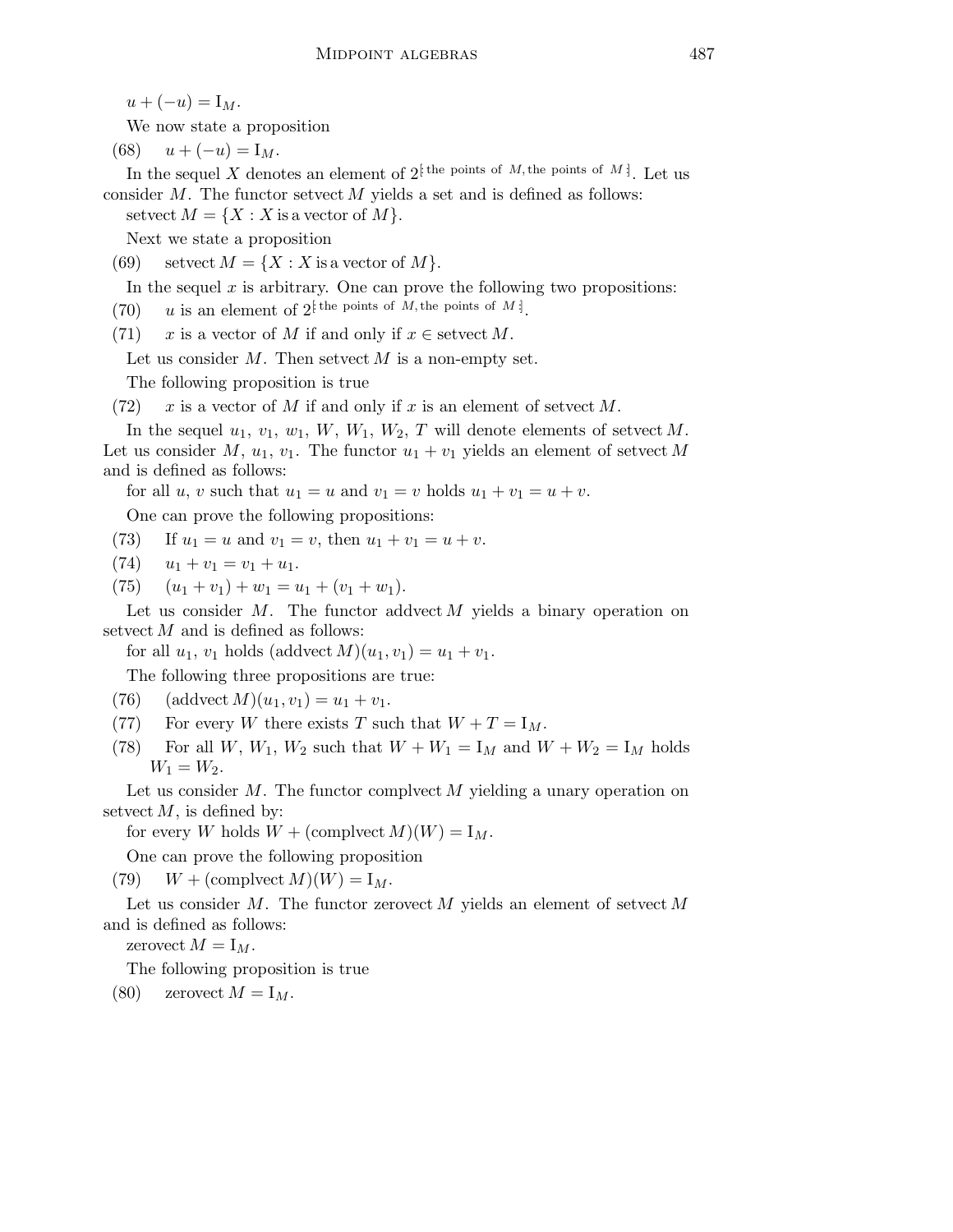$u + (-u) = I_M.$ 

We now state a proposition

(68)  $u + (-u) = I_M$ .

In the sequel X denotes an element of  $2^{\{\text{the points of }M, \text{the points of }M\}}$ . Let us consider  $M$ . The functor setvect  $M$  yields a set and is defined as follows:

setvect  $M = \{X : X$  is a vector of  $M\}.$ 

Next we state a proposition

(69) setvect  $M = \{X : X \text{ is a vector of } M\}.$ 

In the sequel  $x$  is arbitrary. One can prove the following two propositions:

(70) u is an element of  $2^{\{\text{the points of }M, \text{the points of }M\}}$ .

(71) x is a vector of M if and only if  $x \in \text{setvect } M$ .

Let us consider  $M$ . Then setvect  $M$  is a non-empty set.

The following proposition is true

(72) x is a vector of M if and only if x is an element of setvect M.

In the sequel  $u_1, v_1, w_1, W, W_1, W_2, T$  will denote elements of setvect M. Let us consider M,  $u_1, v_1$ . The functor  $u_1 + v_1$  yields an element of setvect M and is defined as follows:

for all u, v such that  $u_1 = u$  and  $v_1 = v$  holds  $u_1 + v_1 = u + v$ .

One can prove the following propositions:

- (73) If  $u_1 = u$  and  $v_1 = v$ , then  $u_1 + v_1 = u + v$ .
- $(74)$   $u_1 + v_1 = v_1 + u_1.$
- (75)  $(u_1 + v_1) + w_1 = u_1 + (v_1 + w_1).$

Let us consider  $M$ . The functor addvect  $M$  yields a binary operation on setvect  $M$  and is defined as follows:

for all  $u_1, v_1$  holds (addvect  $M(u_1, v_1) = u_1 + v_1$ .

The following three propositions are true:

- (76) (addvect  $M(u_1,v_1) = u_1 + v_1$ .
- (77) For every W there exists T such that  $W + T = I_M$ .
- (78) For all W,  $W_1$ ,  $W_2$  such that  $W + W_1 = I_M$  and  $W + W_2 = I_M$  holds  $W_1 = W_2$ .

Let us consider  $M$ . The functor complyeet M yielding a unary operation on setvect  $M$ , is defined by:

for every W holds  $W + (complete M)(W) = I_M$ .

One can prove the following proposition

(79)  $W + (\text{complete } M)(W) = I_M.$ 

Let us consider M. The functor zerovect M yields an element of setvect  $M$ and is defined as follows:

zerovect  $M = I_M$ .

The following proposition is true

(80) zerovect  $M = I_M$ .